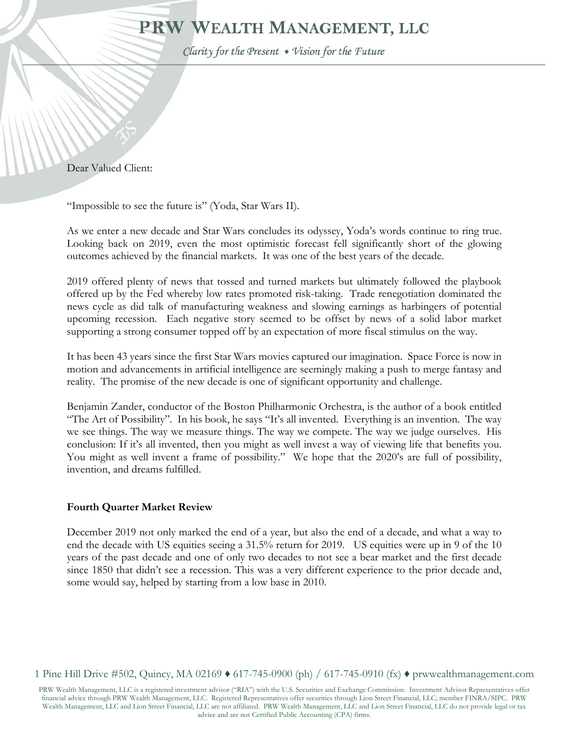# PRW WEALTH MANAGEMENT, LLC

Clarity for the Present • Vision for the Future

Dear Valued Client:

"Impossible to see the future is" (Yoda, Star Wars II).

As we enter a new decade and Star Wars concludes its odyssey, Yoda's words continue to ring true. Looking back on 2019, even the most optimistic forecast fell significantly short of the glowing outcomes achieved by the financial markets. It was one of the best years of the decade.

2019 offered plenty of news that tossed and turned markets but ultimately followed the playbook offered up by the Fed whereby low rates promoted risk-taking. Trade renegotiation dominated the news cycle as did talk of manufacturing weakness and slowing earnings as harbingers of potential upcoming recession. Each negative story seemed to be offset by news of a solid labor market supporting a strong consumer topped off by an expectation of more fiscal stimulus on the way.

It has been 43 years since the first Star Wars movies captured our imagination. Space Force is now in motion and advancements in artificial intelligence are seemingly making a push to merge fantasy and reality. The promise of the new decade is one of significant opportunity and challenge.

Benjamin Zander, conductor of the Boston Philharmonic Orchestra, is the author of a book entitled "The Art of Possibility". In his book, he says "It's all invented. Everything is an invention. The way we see things. The way we measure things. The way we compete. The way we judge ourselves. His conclusion: If it's all invented, then you might as well invest a way of viewing life that benefits you. You might as well invent a frame of possibility." We hope that the 2020's are full of possibility, invention, and dreams fulfilled.

## **Fourth Quarter Market Review**

December 2019 not only marked the end of a year, but also the end of a decade, and what a way to end the decade with US equities seeing a 31.5% return for 2019. US equities were up in 9 of the 10 years of the past decade and one of only two decades to not see a bear market and the first decade since 1850 that didn't see a recession. This was a very different experience to the prior decade and, some would say, helped by starting from a low base in 2010.

1 Pine Hill Drive #502, Quincy, MA 02169 ♦ 617-745-0900 (ph) / 617-745-0910 (fx) ♦ prwwealthmanagement.com

PRW Wealth Management, LLC is a registered investment advisor ("RIA") with the U.S. Securities and Exchange Commission. Investment Advisor Representatives offer financial advice through PRW Wealth Management, LLC. Registered Representatives offer securities through Lion Street Financial, LLC; member FINRA/SIPC. PRW Wealth Management, LLC and Lion Street Financial, LLC are not affiliated. PRW Wealth Management, LLC and Lion Street Financial, LLC do not provide legal or tax advice and are not Certified Public Accounting (CPA) firms.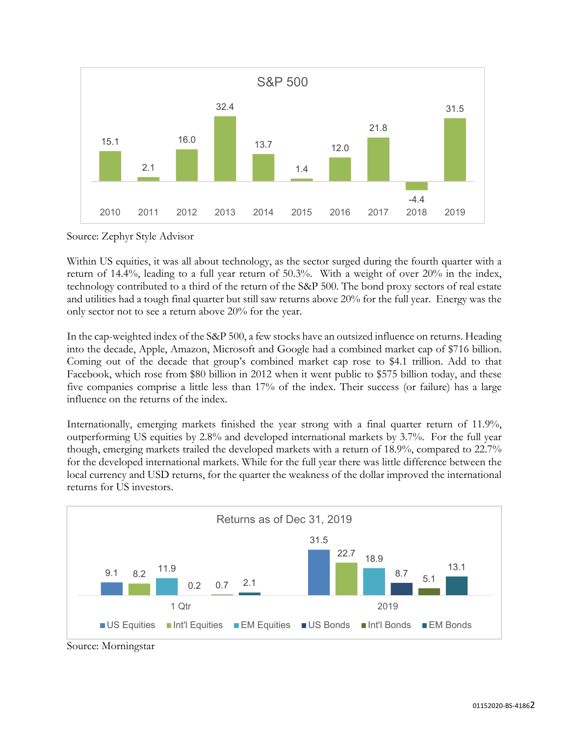

Source: Zephyr Style Advisor

Within US equities, it was all about technology, as the sector surged during the fourth quarter with a return of 14.4%, leading to a full year return of 50.3%. With a weight of over 20% in the index, technology contributed to a third of the return of the S&P 500. The bond proxy sectors of real estate and utilities had a tough final quarter but still saw returns above 20% for the full year. Energy was the only sector not to see a return above 20% for the year.

In the cap-weighted index of the S&P 500, a few stocks have an outsized influence on returns. Heading into the decade, Apple, Amazon, Microsoft and Google had a combined market cap of \$716 billion. Coming out of the decade that group's combined market cap rose to \$4.1 trillion. Add to that Facebook, which rose from \$80 billion in 2012 when it went public to \$575 billion today, and these five companies comprise a little less than 17% of the index. Their success (or failure) has a large influence on the returns of the index.

Internationally, emerging markets finished the year strong with a final quarter return of 11.9%, outperforming US equities by 2.8% and developed international markets by 3.7%. For the full year though, emerging markets trailed the developed markets with a return of 18.9%, compared to 22.7% for the developed international markets. While for the full year there was little difference between the local currency and USD returns, for the quarter the weakness of the dollar improved the international returns for US investors.



Source: Morningstar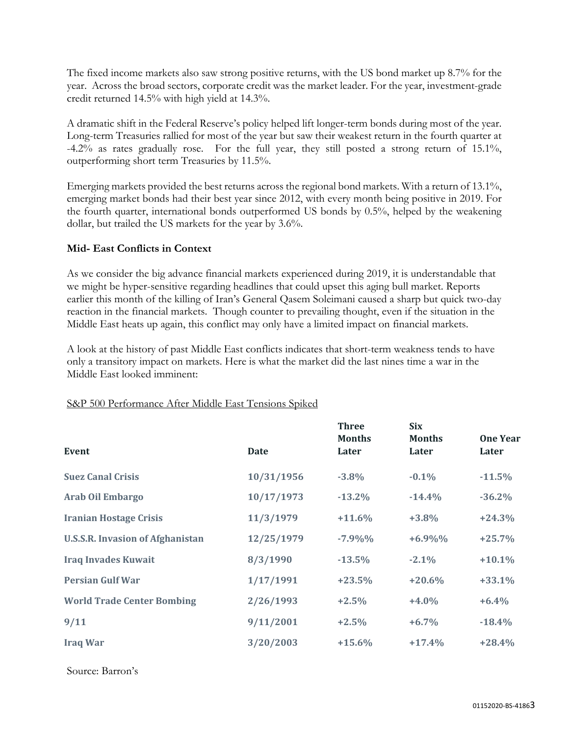The fixed income markets also saw strong positive returns, with the US bond market up 8.7% for the year. Across the broad sectors, corporate credit was the market leader. For the year, investment-grade credit returned 14.5% with high yield at 14.3%.

A dramatic shift in the Federal Reserve's policy helped lift longer-term bonds during most of the year. Long-term Treasuries rallied for most of the year but saw their weakest return in the fourth quarter at -4.2% as rates gradually rose. For the full year, they still posted a strong return of 15.1%, outperforming short term Treasuries by 11.5%.

Emerging markets provided the best returns across the regional bond markets. With a return of 13.1%, emerging market bonds had their best year since 2012, with every month being positive in 2019. For the fourth quarter, international bonds outperformed US bonds by 0.5%, helped by the weakening dollar, but trailed the US markets for the year by 3.6%.

## **Mid- East Conflicts in Context**

As we consider the big advance financial markets experienced during 2019, it is understandable that we might be hyper-sensitive regarding headlines that could upset this aging bull market. Reports earlier this month of the killing of Iran's General Qasem Soleimani caused a sharp but quick two-day reaction in the financial markets. Though counter to prevailing thought, even if the situation in the Middle East heats up again, this conflict may only have a limited impact on financial markets.

A look at the history of past Middle East conflicts indicates that short-term weakness tends to have only a transitory impact on markets. Here is what the market did the last nines time a war in the Middle East looked imminent:

|                                         |            | <b>Three</b><br><b>Months</b> | <b>Six</b><br><b>Months</b> | <b>One Year</b> |
|-----------------------------------------|------------|-------------------------------|-----------------------------|-----------------|
| Event                                   | Date       | Later                         | Later                       | Later           |
| <b>Suez Canal Crisis</b>                | 10/31/1956 | $-3.8%$                       | $-0.1\%$                    | $-11.5%$        |
| <b>Arab Oil Embargo</b>                 | 10/17/1973 | $-13.2\%$                     | $-14.4%$                    | $-36.2%$        |
| <b>Iranian Hostage Crisis</b>           | 11/3/1979  | $+11.6%$                      | $+3.8%$                     | $+24.3%$        |
| <b>U.S.S.R. Invasion of Afghanistan</b> | 12/25/1979 | $-7.9\%$ %                    | $+6.9\%$ %                  | $+25.7%$        |
| <b>Iraq Invades Kuwait</b>              | 8/3/1990   | $-13.5%$                      | $-2.1\%$                    | $+10.1\%$       |
| <b>Persian Gulf War</b>                 | 1/17/1991  | $+23.5%$                      | $+20.6%$                    | $+33.1%$        |
| <b>World Trade Center Bombing</b>       | 2/26/1993  | $+2.5%$                       | $+4.0%$                     | $+6.4%$         |
| 9/11                                    | 9/11/2001  | $+2.5%$                       | $+6.7\%$                    | $-18.4%$        |
| <b>Iraq War</b>                         | 3/20/2003  | $+15.6%$                      | $+17.4%$                    | $+28.4%$        |

#### S&P 500 Performance After Middle East Tensions Spiked

Source: Barron's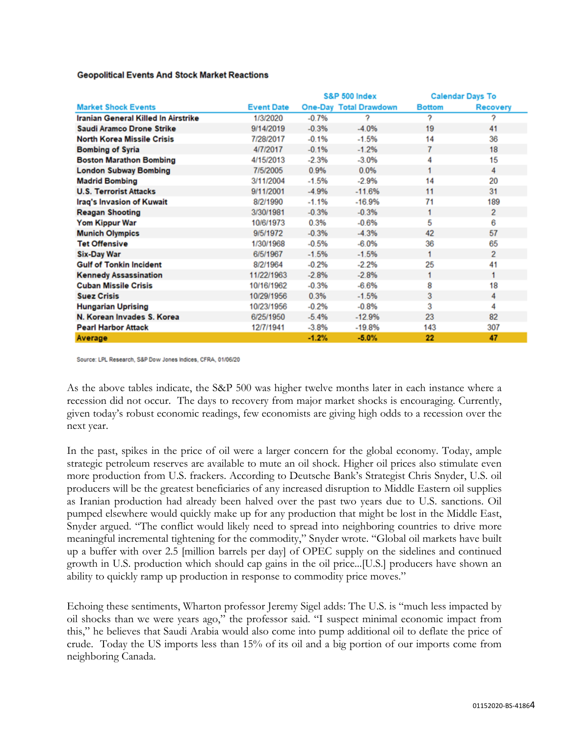|                                     |                   | <b>S&amp;P 500 Index</b> |                               | <b>Calendar Days To</b> |                |
|-------------------------------------|-------------------|--------------------------|-------------------------------|-------------------------|----------------|
| <b>Market Shock Events</b>          | <b>Event Date</b> |                          | <b>One-Day Total Drawdown</b> | <b>Bottom</b>           | Recovery       |
| Iranian General Killed In Airstrike | 1/3/2020          | $-0.7%$                  | 2                             | 7                       |                |
| Saudi Aramco Drone Strike           | 9/14/2019         | $-0.3%$                  | $-4.0%$                       | 19                      | 41             |
| <b>North Korea Missile Crisis</b>   | 7/28/2017         | $-0.1%$                  | $-1.5%$                       | 14                      | 36             |
| <b>Bombing of Syria</b>             | 4/7/2017          | $-0.1%$                  | $-1.2%$                       | 7                       | 18             |
| <b>Boston Marathon Bombing</b>      | 4/15/2013         | $-2.3%$                  | $-3.0%$                       | 4                       | 15             |
| <b>London Subway Bombing</b>        | 7/5/2005          | 0.9%                     | 0.0%                          | 1                       | 4              |
| <b>Madrid Bombing</b>               | 3/11/2004         | $-1.5%$                  | $-2.9%$                       | 14                      | 20             |
| <b>U.S. Terrorist Attacks</b>       | 9/11/2001         | $-4.9%$                  | $-11.6%$                      | 11                      | 31             |
| Iraq's Invasion of Kuwait           | 8/2/1990          | $-1.1%$                  | $-16.9%$                      | 71                      | 189            |
| <b>Reagan Shooting</b>              | 3/30/1981         | $-0.3%$                  | $-0.3%$                       |                         | $\overline{2}$ |
| <b>Yom Kippur War</b>               | 10/6/1973         | 0.3%                     | $-0.6%$                       | 5                       | 6              |
| <b>Munich Olympics</b>              | 9/5/1972          | $-0.3%$                  | $-4.3%$                       | 42                      | 57             |
| <b>Tet Offensive</b>                | 1/30/1968         | $-0.5%$                  | $-6.0%$                       | 36                      | 65             |
| <b>Six-Day War</b>                  | 6/5/1967          | $-1.5%$                  | $-1.5%$                       | 1                       | $\overline{2}$ |
| <b>Gulf of Tonkin Incident</b>      | 8/2/1964          | $-0.2%$                  | $-2.2%$                       | 25                      | 41             |
| <b>Kennedy Assassination</b>        | 11/22/1963        | $-2.8%$                  | $-2.8%$                       | 1                       | 1              |
| <b>Cuban Missile Crisis</b>         | 10/16/1962        | $-0.3%$                  | $-6.6%$                       | 8                       | 18             |
| <b>Suez Crisis</b>                  | 10/29/1956        | 0.3%                     | $-1.5%$                       | 3                       | 4              |
| <b>Hungarian Uprising</b>           | 10/23/1956        | $-0.2%$                  | $-0.8%$                       | 3                       | 4              |
| N. Korean Invades S. Korea          | 6/25/1950         | $-5.4%$                  | $-12.9%$                      | 23                      | 82             |
| <b>Pearl Harbor Attack</b>          | 12/7/1941         | $-3.8%$                  | $-19.8%$                      | 143                     | 307            |
| Average                             |                   | $-1.2%$                  | $-5.0%$                       | 22                      | 47             |

**Geopolitical Events And Stock Market Reactions** 

Source: LPL Research, S&P Dow Jones Indices, CFRA, 01/06/20

As the above tables indicate, the S&P 500 was higher twelve months later in each instance where a recession did not occur. The days to recovery from major market shocks is encouraging. Currently, given today's robust economic readings, few economists are giving high odds to a recession over the next year.

In the past, spikes in the price of oil were a larger concern for the global economy. Today, ample strategic petroleum reserves are available to mute an oil shock. Higher oil prices also stimulate even more production from U.S. frackers. According to Deutsche Bank's Strategist Chris Snyder, U.S. oil producers will be the greatest beneficiaries of any increased disruption to Middle Eastern oil supplies as Iranian production had already been halved over the past two years due to U.S. sanctions. Oil pumped elsewhere would quickly make up for any production that might be lost in the Middle East, Snyder argued. "The conflict would likely need to spread into neighboring countries to drive more meaningful incremental tightening for the commodity," Snyder wrote. "Global oil markets have built up a buffer with over 2.5 [million barrels per day] of OPEC supply on the sidelines and continued growth in U.S. production which should cap gains in the oil price...[U.S.] producers have shown an ability to quickly ramp up production in response to commodity price moves."

Echoing these sentiments, Wharton professor Jeremy Sigel adds: The U.S. is "much less impacted by oil shocks than we were years ago," the professor said. "I suspect minimal economic impact from this," he believes that Saudi Arabia would also come into pump additional oil to deflate the price of crude. Today the US imports less than 15% of its oil and a big portion of our imports come from neighboring Canada.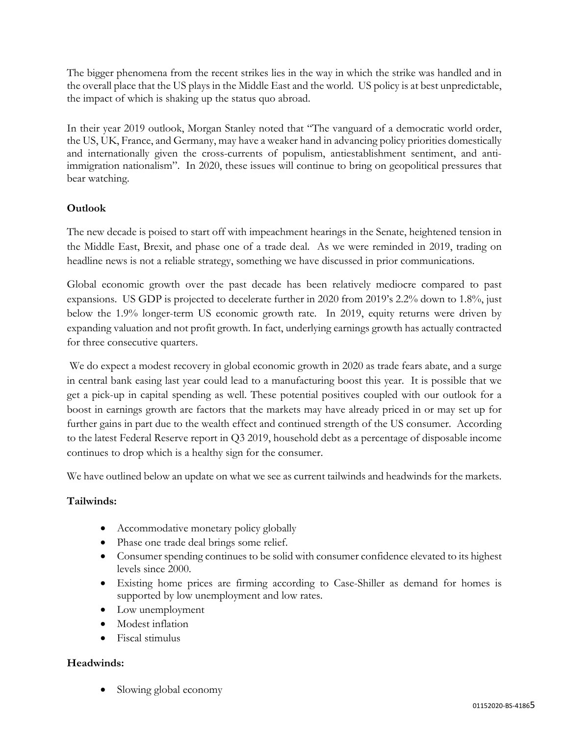The bigger phenomena from the recent strikes lies in the way in which the strike was handled and in the overall place that the US plays in the Middle East and the world. US policy is at best unpredictable, the impact of which is shaking up the status quo abroad.

In their year 2019 outlook, Morgan Stanley noted that "The vanguard of a democratic world order, the US, UK, France, and Germany, may have a weaker hand in advancing policy priorities domestically and internationally given the cross-currents of populism, antiestablishment sentiment, and antiimmigration nationalism". In 2020, these issues will continue to bring on geopolitical pressures that bear watching.

# **Outlook**

The new decade is poised to start off with impeachment hearings in the Senate, heightened tension in the Middle East, Brexit, and phase one of a trade deal. As we were reminded in 2019, trading on headline news is not a reliable strategy, something we have discussed in prior communications.

Global economic growth over the past decade has been relatively mediocre compared to past expansions. US GDP is projected to decelerate further in 2020 from 2019's 2.2% down to 1.8%, just below the 1.9% longer-term US economic growth rate. In 2019, equity returns were driven by expanding valuation and not profit growth. In fact, underlying earnings growth has actually contracted for three consecutive quarters.

We do expect a modest recovery in global economic growth in 2020 as trade fears abate, and a surge in central bank easing last year could lead to a manufacturing boost this year. It is possible that we get a pick-up in capital spending as well. These potential positives coupled with our outlook for a boost in earnings growth are factors that the markets may have already priced in or may set up for further gains in part due to the wealth effect and continued strength of the US consumer. According to the latest Federal Reserve report in Q3 2019, household debt as a percentage of disposable income continues to drop which is a healthy sign for the consumer.

We have outlined below an update on what we see as current tailwinds and headwinds for the markets.

# **Tailwinds:**

- Accommodative monetary policy globally
- Phase one trade deal brings some relief.
- Consumer spending continues to be solid with consumer confidence elevated to its highest levels since 2000.
- Existing home prices are firming according to Case-Shiller as demand for homes is supported by low unemployment and low rates.
- Low unemployment
- Modest inflation
- Fiscal stimulus

# **Headwinds:**

• Slowing global economy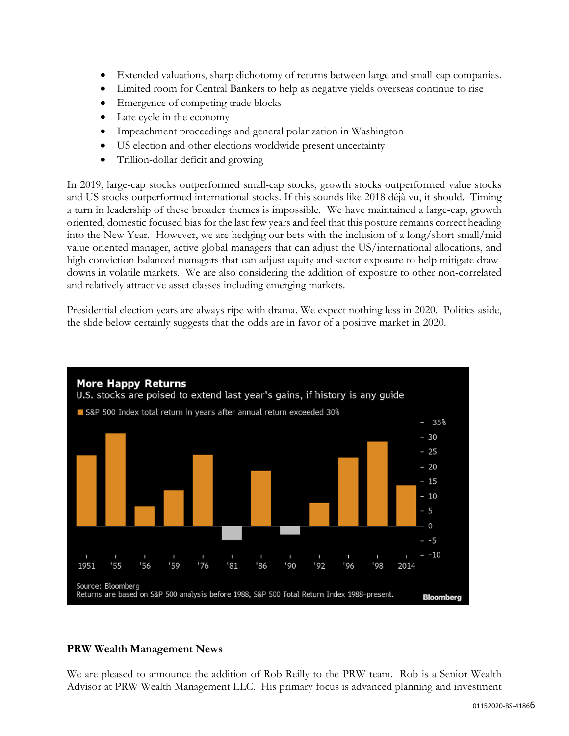- Extended valuations, sharp dichotomy of returns between large and small-cap companies.
- Limited room for Central Bankers to help as negative yields overseas continue to rise
- Emergence of competing trade blocks
- Late cycle in the economy
- Impeachment proceedings and general polarization in Washington
- US election and other elections worldwide present uncertainty
- Trillion-dollar deficit and growing

In 2019, large-cap stocks outperformed small-cap stocks, growth stocks outperformed value stocks and US stocks outperformed international stocks. If this sounds like 2018 déjà vu, it should. Timing a turn in leadership of these broader themes is impossible. We have maintained a large-cap, growth oriented, domestic focused bias for the last few years and feel that this posture remains correct heading into the New Year. However, we are hedging our bets with the inclusion of a long/short small/mid value oriented manager, active global managers that can adjust the US/international allocations, and high conviction balanced managers that can adjust equity and sector exposure to help mitigate drawdowns in volatile markets. We are also considering the addition of exposure to other non-correlated and relatively attractive asset classes including emerging markets.

Presidential election years are always ripe with drama. We expect nothing less in 2020. Politics aside, the slide below certainly suggests that the odds are in favor of a positive market in 2020.



## **PRW Wealth Management News**

We are pleased to announce the addition of Rob Reilly to the PRW team. Rob is a Senior Wealth Advisor at PRW Wealth Management LLC. His primary focus is advanced planning and investment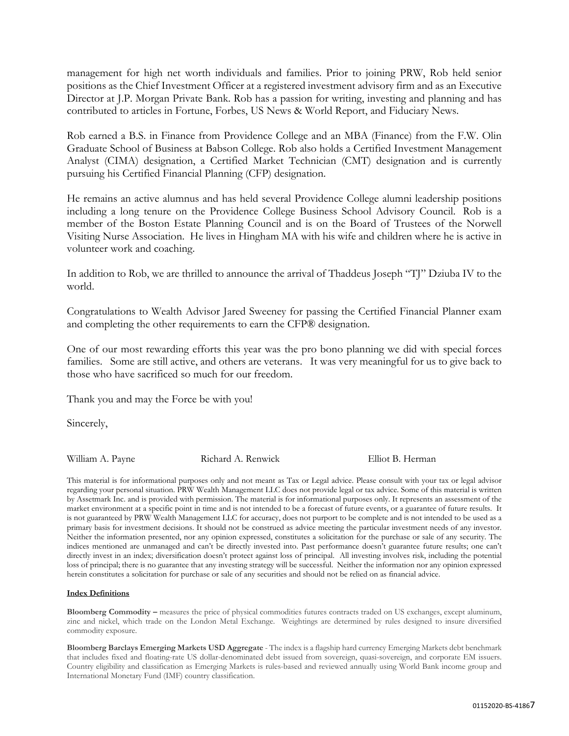management for high net worth individuals and families. Prior to joining PRW, Rob held senior positions as the Chief Investment Officer at a registered investment advisory firm and as an Executive Director at J.P. Morgan Private Bank. Rob has a passion for writing, investing and planning and has contributed to articles in Fortune, Forbes, US News & World Report, and Fiduciary News.

Rob earned a B.S. in Finance from Providence College and an MBA (Finance) from the F.W. Olin Graduate School of Business at Babson College. Rob also holds a Certified Investment Management Analyst (CIMA) designation, a Certified Market Technician (CMT) designation and is currently pursuing his Certified Financial Planning (CFP) designation.

He remains an active alumnus and has held several Providence College alumni leadership positions including a long tenure on the Providence College Business School Advisory Council. Rob is a member of the Boston Estate Planning Council and is on the Board of Trustees of the Norwell Visiting Nurse Association. He lives in Hingham MA with his wife and children where he is active in volunteer work and coaching.

In addition to Rob, we are thrilled to announce the arrival of Thaddeus Joseph "TJ" Dziuba IV to the world.

Congratulations to Wealth Advisor Jared Sweeney for passing the Certified Financial Planner exam and completing the other requirements to earn the CFP® designation.

One of our most rewarding efforts this year was the pro bono planning we did with special forces families. Some are still active, and others are veterans. It was very meaningful for us to give back to those who have sacrificed so much for our freedom.

Thank you and may the Force be with you!

Sincerely,

William A. Payne **Richard A. Renwick** Elliot B. Herman

This material is for informational purposes only and not meant as Tax or Legal advice. Please consult with your tax or legal advisor regarding your personal situation. PRW Wealth Management LLC does not provide legal or tax advice. Some of this material is written by Assetmark Inc. and is provided with permission. The material is for informational purposes only. It represents an assessment of the market environment at a specific point in time and is not intended to be a forecast of future events, or a guarantee of future results. It is not guaranteed by PRW Wealth Management LLC for accuracy, does not purport to be complete and is not intended to be used as a primary basis for investment decisions. It should not be construed as advice meeting the particular investment needs of any investor. Neither the information presented, nor any opinion expressed, constitutes a solicitation for the purchase or sale of any security. The indices mentioned are unmanaged and can't be directly invested into. Past performance doesn't guarantee future results; one can't directly invest in an index; diversification doesn't protect against loss of principal. All investing involves risk, including the potential loss of principal; there is no guarantee that any investing strategy will be successful. Neither the information nor any opinion expressed herein constitutes a solicitation for purchase or sale of any securities and should not be relied on as financial advice.

#### **Index Definitions**

**Bloomberg Commodity –** measures the price of physical commodities futures contracts traded on US exchanges, except aluminum, zinc and nickel, which trade on the London Metal Exchange. Weightings are determined by rules designed to insure diversified commodity exposure.

**Bloomberg Barclays Emerging Markets USD Aggregate** - The index is a flagship hard currency Emerging Markets debt benchmark that includes fixed and floating-rate US dollar-denominated debt issued from sovereign, quasi-sovereign, and corporate EM issuers. Country eligibility and classification as Emerging Markets is rules-based and reviewed annually using World Bank income group and International Monetary Fund (IMF) country classification.